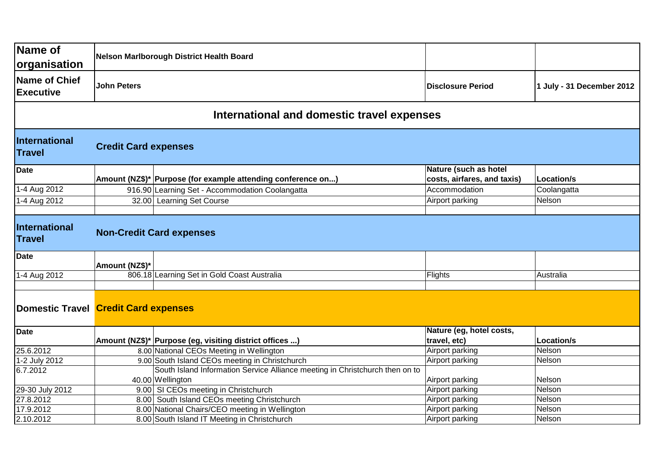| Name of<br> organisation                   |                                                                          | Nelson Marlborough District Health Board                                     |                                                      |                           |  |
|--------------------------------------------|--------------------------------------------------------------------------|------------------------------------------------------------------------------|------------------------------------------------------|---------------------------|--|
| Name of Chief<br><b>Executive</b>          | <b>John Peters</b>                                                       |                                                                              | <b>Disclosure Period</b>                             | 1 July - 31 December 2012 |  |
| International and domestic travel expenses |                                                                          |                                                                              |                                                      |                           |  |
| International<br><b>Travel</b>             | <b>Credit Card expenses</b>                                              |                                                                              |                                                      |                           |  |
| Date                                       |                                                                          | Amount (NZ\$)* Purpose (for example attending conference on)                 | Nature (such as hotel<br>costs, airfares, and taxis) | Location/s                |  |
| 1-4 Aug 2012                               |                                                                          | 916.90 Learning Set - Accommodation Coolangatta                              | Accommodation                                        | Coolangatta               |  |
| 1-4 Aug 2012                               |                                                                          | 32.00 Learning Set Course                                                    | Airport parking                                      | Nelson                    |  |
|                                            |                                                                          |                                                                              |                                                      |                           |  |
| International<br><b>Travel</b>             | <b>Non-Credit Card expenses</b>                                          |                                                                              |                                                      |                           |  |
| Date                                       | Amount (NZ\$)*                                                           |                                                                              |                                                      |                           |  |
| 1-4 Aug 2012                               |                                                                          | 806.18 Learning Set in Gold Coast Australia                                  | Flights                                              | Australia                 |  |
|                                            | Domestic Travel Credit Card expenses                                     |                                                                              |                                                      |                           |  |
| <b>Date</b>                                |                                                                          |                                                                              | Nature (eg, hotel costs,                             |                           |  |
|                                            |                                                                          | Amount (NZ\$)* Purpose (eg, visiting district offices )                      | travel, etc)                                         | Location/s                |  |
| 25.6.2012                                  |                                                                          | 8.00 National CEOs Meeting in Wellington                                     | Airport parking                                      | Nelson                    |  |
| 1-2 July 2012                              |                                                                          | 9.00 South Island CEOs meeting in Christchurch                               | Airport parking                                      | Nelson                    |  |
| 6.7.2012                                   |                                                                          | South Island Information Service Alliance meeting in Christchurch then on to |                                                      |                           |  |
|                                            |                                                                          | 40.00 Wellington                                                             | Airport parking                                      | Nelson                    |  |
| 29-30 July 2012                            |                                                                          | 9.00 SI CEOs meeting in Christchurch                                         | Airport parking                                      | Nelson                    |  |
| 27.8.2012                                  | 8.00 South Island CEOs meeting Christchurch<br>Airport parking<br>Nelson |                                                                              |                                                      |                           |  |
| 17.9.2012                                  |                                                                          | 8.00 National Chairs/CEO meeting in Wellington                               | Airport parking                                      | Nelson                    |  |
| 2.10.2012                                  |                                                                          | 8.00 South Island IT Meeting in Christchurch                                 | Airport parking                                      | Nelson                    |  |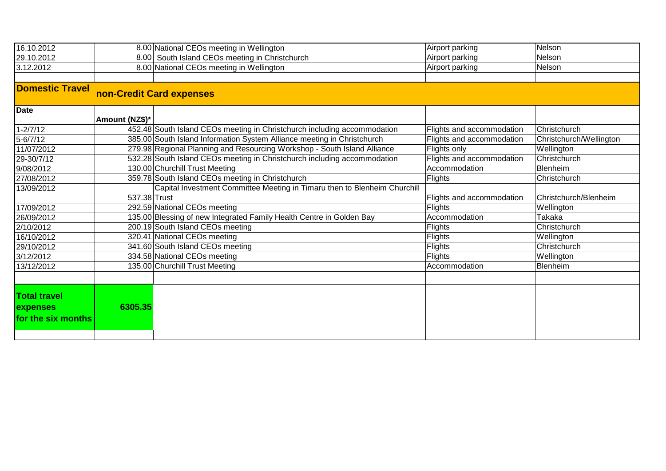| 16.10.2012                                            |                | 8.00 National CEOs meeting in Wellington                                  | Airport parking           | Nelson                  |
|-------------------------------------------------------|----------------|---------------------------------------------------------------------------|---------------------------|-------------------------|
| 29.10.2012                                            |                | 8.00 South Island CEOs meeting in Christchurch                            | Airport parking           | Nelson                  |
| 3.12.2012                                             |                | 8.00 National CEOs meeting in Wellington<br>Airport parking               |                           | Nelson                  |
|                                                       |                |                                                                           |                           |                         |
| <b>Domestic Travel</b>                                |                | non-Credit Card expenses                                                  |                           |                         |
| <b>Date</b>                                           | Amount (NZ\$)* |                                                                           |                           |                         |
| 1-2/7/12                                              |                | 452.48 South Island CEOs meeting in Christchurch including accommodation  | Flights and accommodation | Christchurch            |
| $5 - 6/7/12$                                          |                | 385.00 South Island Information System Alliance meeting in Christchurch   | Flights and accommodation | Christchurch/Wellington |
| 11/07/2012                                            |                | 279.98 Regional Planning and Resourcing Workshop - South Island Alliance  | Flights only              | Wellington              |
| 29-30/7/12                                            |                | 532.28 South Island CEOs meeting in Christchurch including accommodation  | Flights and accommodation | Christchurch            |
| 9/08/2012                                             |                | 130.00 Churchill Trust Meeting                                            | Accommodation             | Blenheim                |
| 27/08/2012                                            |                | 359.78 South Island CEOs meeting in Christchurch                          | Flights                   | Christchurch            |
| 13/09/2012                                            |                | Capital Investment Committee Meeting in Timaru then to Blenheim Churchill |                           |                         |
|                                                       | 537.38 Trust   |                                                                           | Flights and accommodation | Christchurch/Blenheim   |
| 17/09/2012                                            |                | 292.59 National CEOs meeting                                              | <b>Flights</b>            | Wellington              |
| 26/09/2012                                            |                | 135.00 Blessing of new Integrated Family Health Centre in Golden Bay      | Accommodation             | Takaka                  |
| 2/10/2012                                             |                | 200.19 South Island CEOs meeting                                          | Flights                   | Christchurch            |
| 16/10/2012                                            |                | 320.41 National CEOs meeting                                              | Flights                   | Wellington              |
| 29/10/2012                                            |                | 341.60 South Island CEOs meeting                                          | Flights                   | Christchurch            |
| 3/12/2012                                             |                | 334.58 National CEOs meeting                                              | Flights                   | Wellington              |
| 13/12/2012                                            |                | 135.00 Churchill Trust Meeting                                            | Accommodation             | Blenheim                |
|                                                       |                |                                                                           |                           |                         |
| <b>Total travel</b><br>expenses<br>for the six months | 6305.35        |                                                                           |                           |                         |
|                                                       |                |                                                                           |                           |                         |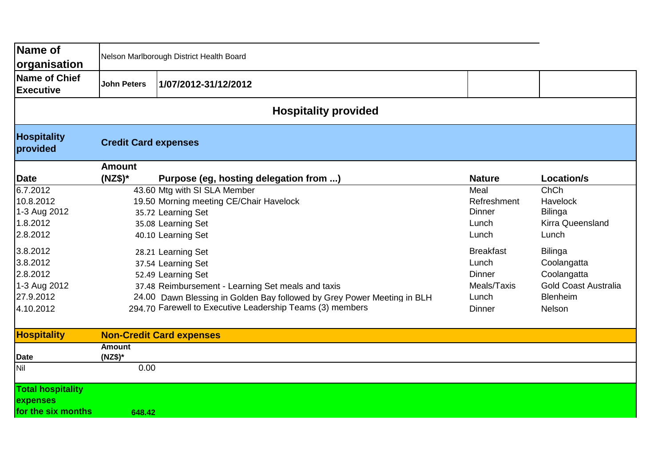| Name of<br>organisation                                                    | Nelson Marlborough District Health Board |                                                                                                                                                                                                                                                              |                                                                              |                                                                                                          |
|----------------------------------------------------------------------------|------------------------------------------|--------------------------------------------------------------------------------------------------------------------------------------------------------------------------------------------------------------------------------------------------------------|------------------------------------------------------------------------------|----------------------------------------------------------------------------------------------------------|
| <b>Name of Chief</b><br><b>Executive</b>                                   | <b>John Peters</b>                       | 1/07/2012-31/12/2012                                                                                                                                                                                                                                         |                                                                              |                                                                                                          |
|                                                                            |                                          | <b>Hospitality provided</b>                                                                                                                                                                                                                                  |                                                                              |                                                                                                          |
| <b>Hospitality</b><br>provided                                             | <b>Credit Card expenses</b>              |                                                                                                                                                                                                                                                              |                                                                              |                                                                                                          |
|                                                                            | <b>Amount</b>                            |                                                                                                                                                                                                                                                              |                                                                              |                                                                                                          |
| <b>Date</b>                                                                | $(NZ$)^*$                                | Purpose (eg, hosting delegation from )                                                                                                                                                                                                                       | <b>Nature</b>                                                                | <b>Location/s</b>                                                                                        |
| 6.7.2012<br>10.8.2012<br>1-3 Aug 2012<br>1.8.2012<br>2.8.2012              |                                          | 43.60 Mtg with SI SLA Member<br>19.50 Morning meeting CE/Chair Havelock<br>35.72 Learning Set<br>35.08 Learning Set<br>40.10 Learning Set                                                                                                                    | Meal<br>Refreshment<br>Dinner<br>Lunch<br>Lunch                              | ChCh<br>Havelock<br><b>Bilinga</b><br><b>Kirra Queensland</b><br>Lunch                                   |
| 3.8.2012<br>3.8.2012<br>2.8.2012<br>1-3 Aug 2012<br>27.9.2012<br>4.10.2012 |                                          | 28.21 Learning Set<br>37.54 Learning Set<br>52.49 Learning Set<br>37.48 Reimbursement - Learning Set meals and taxis<br>24.00 Dawn Blessing in Golden Bay followed by Grey Power Meeting in BLH<br>294.70 Farewell to Executive Leadership Teams (3) members | <b>Breakfast</b><br>Lunch<br><b>Dinner</b><br>Meals/Taxis<br>Lunch<br>Dinner | <b>Bilinga</b><br>Coolangatta<br>Coolangatta<br><b>Gold Coast Australia</b><br><b>Blenheim</b><br>Nelson |
| <b>Hospitality</b>                                                         |                                          | <b>Non-Credit Card expenses</b>                                                                                                                                                                                                                              |                                                                              |                                                                                                          |
| <b>Date</b>                                                                | <b>Amount</b><br>$(NZ$)*$                |                                                                                                                                                                                                                                                              |                                                                              |                                                                                                          |
| Nil                                                                        | 0.00                                     |                                                                                                                                                                                                                                                              |                                                                              |                                                                                                          |
| <b>Total hospitality</b><br>expenses<br>for the six months                 | 648.42                                   |                                                                                                                                                                                                                                                              |                                                                              |                                                                                                          |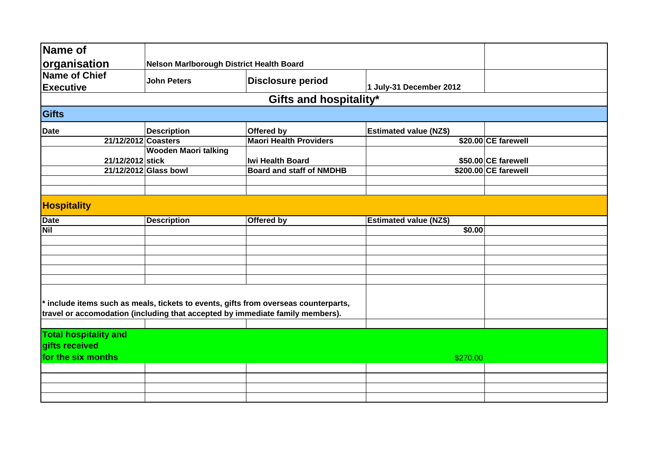| Name of                                                                                                                                                            |                                          |                                 |                               |                      |  |
|--------------------------------------------------------------------------------------------------------------------------------------------------------------------|------------------------------------------|---------------------------------|-------------------------------|----------------------|--|
|                                                                                                                                                                    |                                          |                                 |                               |                      |  |
| organisation                                                                                                                                                       | Nelson Marlborough District Health Board |                                 |                               |                      |  |
| <b>Name of Chief</b>                                                                                                                                               | <b>John Peters</b>                       | <b>Disclosure period</b>        |                               |                      |  |
| <b>Executive</b>                                                                                                                                                   |                                          |                                 | 1 July-31 December 2012       |                      |  |
|                                                                                                                                                                    |                                          | Gifts and hospitality*          |                               |                      |  |
| <b>Gifts</b>                                                                                                                                                       |                                          |                                 |                               |                      |  |
| <b>Date</b>                                                                                                                                                        | <b>Description</b>                       | Offered by                      | <b>Estimated value (NZ\$)</b> |                      |  |
| 21/12/2012 Coasters                                                                                                                                                |                                          | <b>Maori Health Providers</b>   |                               | \$20.00 CE farewell  |  |
|                                                                                                                                                                    | <b>Wooden Maori talking</b>              |                                 |                               |                      |  |
| 21/12/2012 stick                                                                                                                                                   |                                          | <b>Iwi Health Board</b>         |                               | \$50.00 CE farewell  |  |
|                                                                                                                                                                    | 21/12/2012 Glass bowl                    | <b>Board and staff of NMDHB</b> |                               | \$200.00 CE farewell |  |
|                                                                                                                                                                    |                                          |                                 |                               |                      |  |
| <b>Hospitality</b>                                                                                                                                                 |                                          |                                 |                               |                      |  |
| <b>Date</b>                                                                                                                                                        | <b>Description</b>                       | Offered by                      | <b>Estimated value (NZ\$)</b> |                      |  |
| <b>Nil</b>                                                                                                                                                         |                                          |                                 | \$0.00                        |                      |  |
|                                                                                                                                                                    |                                          |                                 |                               |                      |  |
|                                                                                                                                                                    |                                          |                                 |                               |                      |  |
|                                                                                                                                                                    |                                          |                                 |                               |                      |  |
|                                                                                                                                                                    |                                          |                                 |                               |                      |  |
|                                                                                                                                                                    |                                          |                                 |                               |                      |  |
| include items such as meals, tickets to events, gifts from overseas counterparts,<br>travel or accomodation (including that accepted by immediate family members). |                                          |                                 |                               |                      |  |
|                                                                                                                                                                    |                                          |                                 |                               |                      |  |
| <b>Total hospitality and</b>                                                                                                                                       |                                          |                                 |                               |                      |  |
| gifts received                                                                                                                                                     |                                          |                                 |                               |                      |  |
| for the six months                                                                                                                                                 |                                          |                                 | \$270.00                      |                      |  |
|                                                                                                                                                                    |                                          |                                 |                               |                      |  |
|                                                                                                                                                                    |                                          |                                 |                               |                      |  |
|                                                                                                                                                                    |                                          |                                 |                               |                      |  |
|                                                                                                                                                                    |                                          |                                 |                               |                      |  |